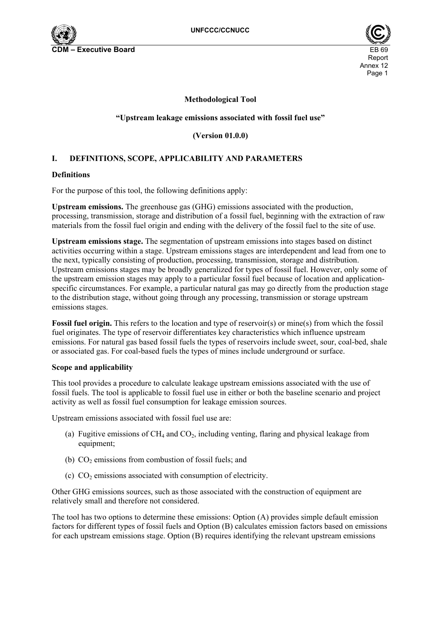

## **Methodological Tool**

## **"Upstream leakage emissions associated with fossil fuel use"**

**(Version 01.0.0)** 

# **I. DEFINITIONS, SCOPE, APPLICABILITY AND PARAMETERS**

#### **Definitions**

For the purpose of this tool, the following definitions apply:

**Upstream emissions.** The greenhouse gas (GHG) emissions associated with the production, processing, transmission, storage and distribution of a fossil fuel, beginning with the extraction of raw materials from the fossil fuel origin and ending with the delivery of the fossil fuel to the site of use.

**Upstream emissions stage.** The segmentation of upstream emissions into stages based on distinct activities occurring within a stage. Upstream emissions stages are interdependent and lead from one to the next, typically consisting of production, processing, transmission, storage and distribution. Upstream emissions stages may be broadly generalized for types of fossil fuel. However, only some of the upstream emission stages may apply to a particular fossil fuel because of location and applicationspecific circumstances. For example, a particular natural gas may go directly from the production stage to the distribution stage, without going through any processing, transmission or storage upstream emissions stages.

**Fossil fuel origin.** This refers to the location and type of reservoir(s) or mine(s) from which the fossil fuel originates. The type of reservoir differentiates key characteristics which influence upstream emissions. For natural gas based fossil fuels the types of reservoirs include sweet, sour, coal-bed, shale or associated gas. For coal-based fuels the types of mines include underground or surface.

#### **Scope and applicability**

This tool provides a procedure to calculate leakage upstream emissions associated with the use of fossil fuels. The tool is applicable to fossil fuel use in either or both the baseline scenario and project activity as well as fossil fuel consumption for leakage emission sources.

Upstream emissions associated with fossil fuel use are:

- (a) Fugitive emissions of  $CH_4$  and  $CO_2$ , including venting, flaring and physical leakage from equipment;
- (b)  $CO<sub>2</sub>$  emissions from combustion of fossil fuels; and
- (c)  $CO<sub>2</sub>$  emissions associated with consumption of electricity.

Other GHG emissions sources, such as those associated with the construction of equipment are relatively small and therefore not considered.

The tool has two options to determine these emissions: Option (A) provides simple default emission factors for different types of fossil fuels and Option (B) calculates emission factors based on emissions for each upstream emissions stage. Option (B) requires identifying the relevant upstream emissions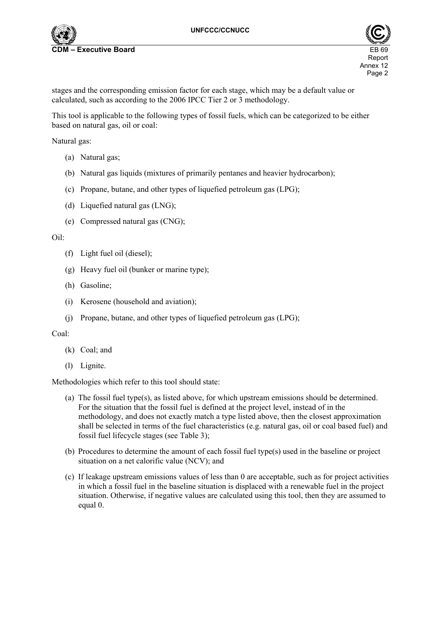



stages and the corresponding emission factor for each stage, which may be a default value or calculated, such as according to the 2006 IPCC Tier 2 or 3 methodology.

This tool is applicable to the following types of fossil fuels, which can be categorized to be either based on natural gas, oil or coal:

Natural gas:

- (a) Natural gas;
- (b) Natural gas liquids (mixtures of primarily pentanes and heavier hydrocarbon);
- (c) Propane, butane, and other types of liquefied petroleum gas (LPG);
- (d) Liquefied natural gas (LNG);
- (e) Compressed natural gas (CNG);

#### Oil:

- (f) Light fuel oil (diesel);
- (g) Heavy fuel oil (bunker or marine type);
- (h) Gasoline;
- (i) Kerosene (household and aviation);
- (j) Propane, butane, and other types of liquefied petroleum gas (LPG);

#### Coal:

- (k) Coal; and
- (l) Lignite.

Methodologies which refer to this tool should state:

- (a) The fossil fuel type(s), as listed above, for which upstream emissions should be determined. For the situation that the fossil fuel is defined at the project level, instead of in the methodology, and does not exactly match a type listed above, then the closest approximation shall be selected in terms of the fuel characteristics (e.g. natural gas, oil or coal based fuel) and fossil fuel lifecycle stages (see Table 3);
- (b) Procedures to determine the amount of each fossil fuel type(s) used in the baseline or project situation on a net calorific value (NCV); and
- (c) If leakage upstream emissions values of less than 0 are acceptable, such as for project activities in which a fossil fuel in the baseline situation is displaced with a renewable fuel in the project situation. Otherwise, if negative values are calculated using this tool, then they are assumed to equal 0.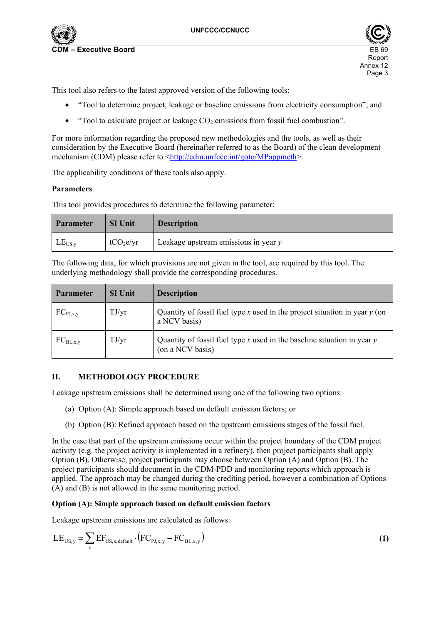

This tool also refers to the latest approved version of the following tools:

- "Tool to determine project, leakage or baseline emissions from electricity consumption"; and
- $\bullet$  "Tool to calculate project or leakage CO<sub>2</sub> emissions from fossil fuel combustion".

For more information regarding the proposed new methodologies and the tools, as well as their consideration by the Executive Board (hereinafter referred to as the Board) of the clean development mechanism (CDM) please refer to <http://cdm.unfccc.int/goto/MPappmeth>.

The applicability conditions of these tools also apply.

### **Parameters**

This tool provides procedures to determine the following parameter:

| <b>Parameter</b> | <b>SI Unit</b>        | <b>Description</b>                     |
|------------------|-----------------------|----------------------------------------|
| $LE_{US,y}$      | tCO <sub>2</sub> e/yr | Leakage upstream emissions in year $y$ |

The following data, for which provisions are not given in the tool, are required by this tool. The underlying methodology shall provide the corresponding procedures.

| <b>Parameter</b> | <b>SI Unit</b> | <b>Description</b>                                                                            |
|------------------|----------------|-----------------------------------------------------------------------------------------------|
| $FC_{PJ, x,y}$   | TJ/yr          | Quantity of fossil fuel type x used in the project situation in year $y$ (on<br>a NCV basis)  |
| $FC_{BL, x, y}$  | TJ/yr          | Quantity of fossil fuel type x used in the baseline situation in year $y$<br>(on a NCV basis) |

### **II. METHODOLOGY PROCEDURE**

Leakage upstream emissions shall be determined using one of the following two options:

- (a) Option (A): Simple approach based on default emission factors; or
- (b) Option (B): Refined approach based on the upstream emissions stages of the fossil fuel.

In the case that part of the upstream emissions occur within the project boundary of the CDM project activity (e.g. the project activity is implemented in a refinery), then project participants shall apply Option (B). Otherwise, project participants may choose between Option (A) and Option (B). The project participants should document in the CDM-PDD and monitoring reports which approach is applied. The approach may be changed during the crediting period, however a combination of Options (A) and (B) is not allowed in the same monitoring period.

### **Option (A): Simple approach based on default emission factors**

Leakage upstream emissions are calculated as follows:

$$
LE_{US,y} = \sum_{x} EF_{US,x,\text{default}} \cdot (FC_{PI,x,y} - FC_{BL,x,y})
$$
 (1)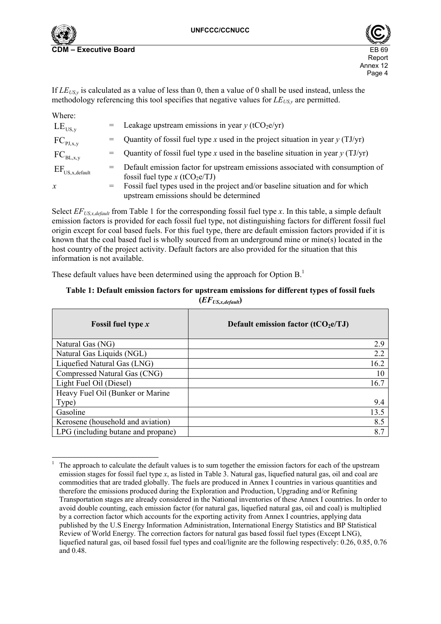$\overline{a}$ 



If  $LE_{USy}$  is calculated as a value of less than 0, then a value of 0 shall be used instead, unless the methodology referencing this tool specifies that negative values for  $LE_{USy}$  are permitted.

| Where:                                          |                                                                                                                               |
|-------------------------------------------------|-------------------------------------------------------------------------------------------------------------------------------|
| $LE_{US, v}$                                    | = Leakage upstream emissions in year $y$ (tCO <sub>2</sub> e/yr)                                                              |
| $FC_{PJ, x,y}$                                  | = Quantity of fossil fuel type x used in the project situation in year $y(TJ/yr)$                                             |
| $FC_{BL,x,y}$                                   | $=$ Quantity of fossil fuel type x used in the baseline situation in year y (TJ/yr)                                           |
| $\mathrm{EF}_{\mathrm{US,x}, \mathrm{default}}$ | = Default emission factor for upstream emissions associated with consumption of<br>fossil fuel type x (tCO <sub>2</sub> e/TJ) |
| $\mathcal{X}$                                   | = Fossil fuel types used in the project and/or baseline situation and for which<br>upstream emissions should be determined    |

Select *EF<sub>US,x,default*</sub> from Table 1 for the corresponding fossil fuel type *x*. In this table, a simple default emission factors is provided for each fossil fuel type, not distinguishing factors for different fossil fuel origin except for coal based fuels. For this fuel type, there are default emission factors provided if it is known that the coal based fuel is wholly sourced from an underground mine or mine(s) located in the host country of the project activity. Default factors are also provided for the situation that this information is not available.

These default values have been determined using the approach for Option B.<sup>1</sup>

#### **Table 1: Default emission factors for upstream emissions for different types of fossil fuels (***EFUS,x,default***)**

| <b>Fossil fuel type x</b>          | Default emission factor $(tCO_2e/TJ)$ |
|------------------------------------|---------------------------------------|
| Natural Gas (NG)                   | 2.9                                   |
| Natural Gas Liquids (NGL)          | 2.2                                   |
| Liquefied Natural Gas (LNG)        | 16.2                                  |
| Compressed Natural Gas (CNG)       | 10                                    |
| Light Fuel Oil (Diesel)            | 16.7                                  |
| Heavy Fuel Oil (Bunker or Marine   |                                       |
| Type)                              | 9.4                                   |
| Gasoline                           | 13.5                                  |
| Kerosene (household and aviation)  | 8.5                                   |
| LPG (including butane and propane) | 8.7                                   |

<sup>1</sup> The approach to calculate the default values is to sum together the emission factors for each of the upstream emission stages for fossil fuel type *x*, as listed in Table 3. Natural gas, liquefied natural gas, oil and coal are commodities that are traded globally. The fuels are produced in Annex I countries in various quantities and therefore the emissions produced during the Exploration and Production, Upgrading and/or Refining Transportation stages are already considered in the National inventories of these Annex I countries. In order to avoid double counting, each emission factor (for natural gas, liquefied natural gas, oil and coal) is multiplied by a correction factor which accounts for the exporting activity from Annex I countries, applying data published by the U.S Energy Information Administration, International Energy Statistics and BP Statistical Review of World Energy. The correction factors for natural gas based fossil fuel types (Except LNG), liquefied natural gas, oil based fossil fuel types and coal/lignite are the following respectively: 0.26, 0.85, 0.76 and 0.48.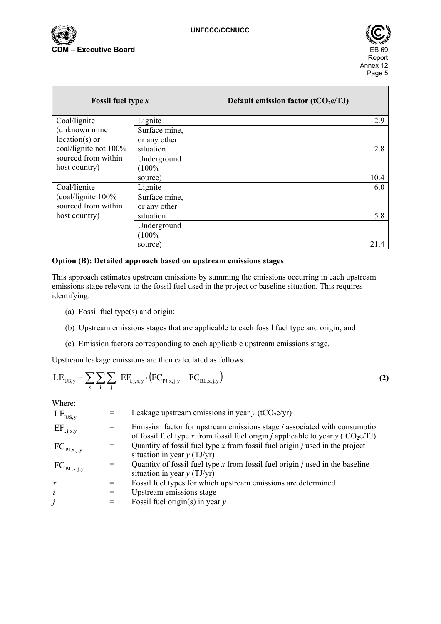



| Fossil fuel type $x$  |               | Default emission factor $(tCO_2e/TJ)$ |
|-----------------------|---------------|---------------------------------------|
| Coal/lignite          | Lignite       | 2.9                                   |
| (unknown mine         | Surface mine, |                                       |
| $location(s)$ or      | or any other  |                                       |
| coal/lignite not 100% | situation     | 2.8                                   |
| sourced from within   | Underground   |                                       |
| host country)         | (100%         |                                       |
|                       | source)       | 10.4                                  |
| Coal/lignite          | Lignite       | 6.0                                   |
| $(coal/lignite 100\%$ | Surface mine, |                                       |
| sourced from within   | or any other  |                                       |
| host country)         | situation     | 5.8                                   |
|                       | Underground   |                                       |
|                       | (100%         |                                       |
|                       | source)       | 21.4                                  |

#### **Option (B): Detailed approach based on upstream emissions stages**

This approach estimates upstream emissions by summing the emissions occurring in each upstream emissions stage relevant to the fossil fuel used in the project or baseline situation. This requires identifying:

- (a) Fossil fuel type(s) and origin;
- (b) Upstream emissions stages that are applicable to each fossil fuel type and origin; and
- (c) Emission factors corresponding to each applicable upstream emissions stage.

Upstream leakage emissions are then calculated as follows:

$$
LE_{US,y} = \sum_{x} \sum_{i} \sum_{j} EF_{i,j,x,y} \cdot (FC_{PI,x,j,y} - FC_{BL,x,j,y})
$$
 (2)

 $\overline{M}$ 

| w nere:             |     |                                                                                                                                                                                                 |
|---------------------|-----|-------------------------------------------------------------------------------------------------------------------------------------------------------------------------------------------------|
| $LE_{US,y}$         |     | Leakage upstream emissions in year $y$ (tCO <sub>2</sub> e/yr)                                                                                                                                  |
| $EF_{i,j,x,y}$      |     | Emission factor for upstream emissions stage <i>i</i> associated with consumption<br>of fossil fuel type x from fossil fuel origin <i>j</i> applicable to year <i>y</i> (tCO <sub>2</sub> e/TJ) |
| $FC_{PJ,x,j,y}$     | $=$ | Quantity of fossil fuel type $x$ from fossil fuel origin $j$ used in the project<br>situation in year $y(TJ/yr)$                                                                                |
| $FC_{BL,x,j,y}$     | $=$ | Quantity of fossil fuel type $x$ from fossil fuel origin $j$ used in the baseline<br>situation in year $y(TJ/yr)$                                                                               |
| $\boldsymbol{\chi}$ |     | Fossil fuel types for which upstream emissions are determined                                                                                                                                   |
| $\dot{i}$           | $=$ | Upstream emissions stage                                                                                                                                                                        |
| j                   | $=$ | Fossil fuel origin(s) in year $y$                                                                                                                                                               |
|                     |     |                                                                                                                                                                                                 |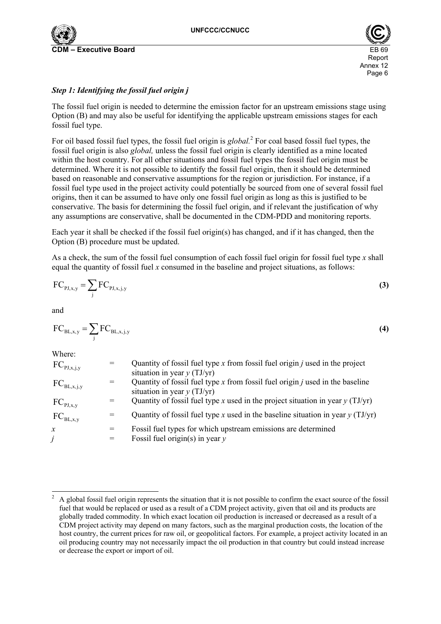



## *Step 1: Identifying the fossil fuel origin j*

The fossil fuel origin is needed to determine the emission factor for an upstream emissions stage using Option (B) and may also be useful for identifying the applicable upstream emissions stages for each fossil fuel type.

For oil based fossil fuel types, the fossil fuel origin is *global*.<sup>2</sup> For coal based fossil fuel types, the fossil fuel origin is also *global,* unless the fossil fuel origin is clearly identified as a mine located within the host country. For all other situations and fossil fuel types the fossil fuel origin must be determined. Where it is not possible to identify the fossil fuel origin, then it should be determined based on reasonable and conservative assumptions for the region or jurisdiction. For instance, if a fossil fuel type used in the project activity could potentially be sourced from one of several fossil fuel origins, then it can be assumed to have only one fossil fuel origin as long as this is justified to be conservative. The basis for determining the fossil fuel origin, and if relevant the justification of why any assumptions are conservative, shall be documented in the CDM-PDD and monitoring reports.

Each year it shall be checked if the fossil fuel origin(s) has changed, and if it has changed, then the Option (B) procedure must be updated.

As a check, the sum of the fossil fuel consumption of each fossil fuel origin for fossil fuel type *x* shall equal the quantity of fossil fuel *x* consumed in the baseline and project situations, as follows:

$$
FC_{p_{J,x,y}} = \sum_{j} FC_{p_{J,x,j,y}}
$$
 (3)

and

$$
FC_{BL,x,y} = \sum_{j} FC_{BL,x,j,y}
$$
 (4)

Where:

| $FC_{PJ,x,j,y}$ | Quantity of fossil fuel type $x$ from fossil fuel origin $i$ used in the project<br>situation in year $y(TJ/yr)$  |
|-----------------|-------------------------------------------------------------------------------------------------------------------|
| $FC_{BL,x,j,y}$ | Quantity of fossil fuel type $x$ from fossil fuel origin $j$ used in the baseline<br>situation in year $y(TJ/yr)$ |
| $FC_{PJ, x,y}$  | Quantity of fossil fuel type x used in the project situation in year $\gamma$ (TJ/yr)                             |
| $FC_{BL, x, y}$ | Quantity of fossil fuel type x used in the baseline situation in year $y(TJ/yr)$                                  |
| $\mathcal{X}$   | Fossil fuel types for which upstream emissions are determined<br>Fossil fuel origin(s) in year $y$                |

 $\frac{1}{2}$  A global fossil fuel origin represents the situation that it is not possible to confirm the exact source of the fossil fuel that would be replaced or used as a result of a CDM project activity, given that oil and its products are globally traded commodity. In which exact location oil production is increased or decreased as a result of a CDM project activity may depend on many factors, such as the marginal production costs, the location of the host country, the current prices for raw oil, or geopolitical factors. For example, a project activity located in an oil producing country may not necessarily impact the oil production in that country but could instead increase or decrease the export or import of oil.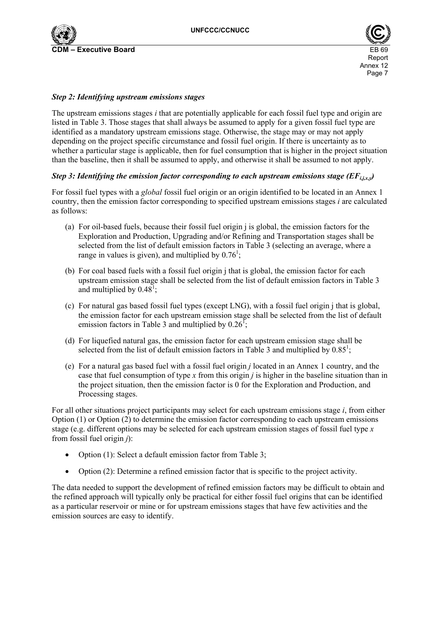



#### *Step 2: Identifying upstream emissions stages*

The upstream emissions stages *i* that are potentially applicable for each fossil fuel type and origin are listed in Table 3. Those stages that shall always be assumed to apply for a given fossil fuel type are identified as a mandatory upstream emissions stage. Otherwise, the stage may or may not apply depending on the project specific circumstance and fossil fuel origin. If there is uncertainty as to whether a particular stage is applicable, then for fuel consumption that is higher in the project situation than the baseline, then it shall be assumed to apply, and otherwise it shall be assumed to not apply.

## *Step 3: Identifying the emission factor corresponding to each upstream emissions stage (* $EF_{i,j,x,y}$ *)*

For fossil fuel types with a *global* fossil fuel origin or an origin identified to be located in an Annex 1 country, then the emission factor corresponding to specified upstream emissions stages *i* are calculated as follows:

- (a) For oil-based fuels, because their fossil fuel origin j is global, the emission factors for the Exploration and Production, Upgrading and/or Refining and Transportation stages shall be selected from the list of default emission factors in Table 3 (selecting an average, where a range in values is given), and multiplied by  $0.76^1$ ;
- (b) For coal based fuels with a fossil fuel origin j that is global, the emission factor for each upstream emission stage shall be selected from the list of default emission factors in Table 3 and multiplied by  $0.48^1$ ;
- (c) For natural gas based fossil fuel types (except LNG), with a fossil fuel origin j that is global, the emission factor for each upstream emission stage shall be selected from the list of default emission factors in Table 3 and multiplied by  $0.26^{\text{T}}$ ;
- (d) For liquefied natural gas, the emission factor for each upstream emission stage shall be selected from the list of default emission factors in Table 3 and multiplied by  $0.85^1$ ;
- (e) For a natural gas based fuel with a fossil fuel origin *j* located in an Annex 1 country, and the case that fuel consumption of type *x* from this origin *j* is higher in the baseline situation than in the project situation, then the emission factor is 0 for the Exploration and Production, and Processing stages.

For all other situations project participants may select for each upstream emissions stage *i*, from either Option (1) or Option (2) to determine the emission factor corresponding to each upstream emissions stage (e.g. different options may be selected for each upstream emission stages of fossil fuel type *x*  from fossil fuel origin *j*):

- Option (1): Select a default emission factor from Table 3;
- Option (2): Determine a refined emission factor that is specific to the project activity.

The data needed to support the development of refined emission factors may be difficult to obtain and the refined approach will typically only be practical for either fossil fuel origins that can be identified as a particular reservoir or mine or for upstream emissions stages that have few activities and the emission sources are easy to identify.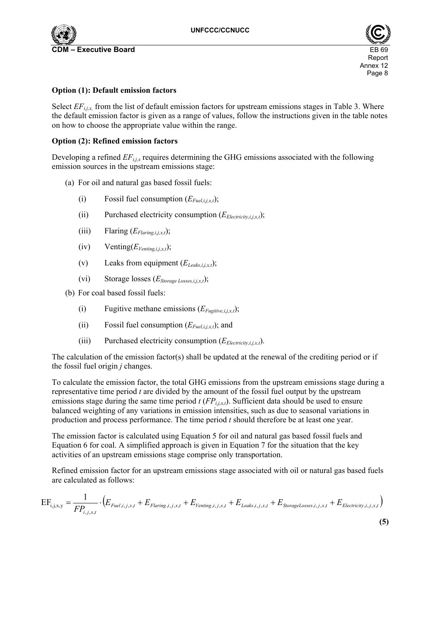

**Executive Board** 





#### **Option (1): Default emission factors**

Select  $EF_{i,j,x}$ , from the list of default emission factors for upstream emissions stages in Table 3. Where the default emission factor is given as a range of values, follow the instructions given in the table notes on how to choose the appropriate value within the range.

#### **Option (2): Refined emission factors**

Developing a refined  $EF_{i,j,x}$  requires determining the GHG emissions associated with the following emission sources in the upstream emissions stage:

- (a) For oil and natural gas based fossil fuels:
	- (i) Fossil fuel consumption  $(E_{Fuel ijx}t)$ ;
	- (ii) Purchased electricity consumption  $(E_{Electricity,i,x})$ ;
	- (iii) Flaring  $(E_{Flaring,i,x,t})$ ;
	- $(iv)$  Venting $(E_{Venting,i,j,x,t});$
	- (v) Leaks from equipment  $(E_{Leaks,i,x,t})$ ;
	- (vi) Storage losses (*EStorage Losses,i,j,x,t*);
- (b) For coal based fossil fuels:
	- (i) Fugitive methane emissions  $(E_{Fucitive,i,x,t})$ ;
	- (ii) Fossil fuel consumption  $(E_{Fuel.i, x,t})$ ; and
	- (iii) Purchased electricity consumption  $(E_{Electricity,i,xx})$ .

The calculation of the emission factor(s) shall be updated at the renewal of the crediting period or if the fossil fuel origin *j* changes.

To calculate the emission factor, the total GHG emissions from the upstream emissions stage during a representative time period *t* are divided by the amount of the fossil fuel output by the upstream emissions stage during the same time period  $t$  ( $FP_{i,i,x,t}$ ). Sufficient data should be used to ensure balanced weighting of any variations in emission intensities, such as due to seasonal variations in production and process performance. The time period *t* should therefore be at least one year.

The emission factor is calculated using Equation 5 for oil and natural gas based fossil fuels and Equation 6 for coal. A simplified approach is given in Equation 7 for the situation that the key activities of an upstream emissions stage comprise only transportation.

Refined emission factor for an upstream emissions stage associated with oil or natural gas based fuels are calculated as follows:

$$
EF_{i,j,x,y} = \frac{1}{FP_{i,j,x,t}} \cdot (E_{\text{Fuel},i,j,x,t} + E_{\text{Flaring},i,j,x,t} + E_{\text{Vending},i,j,x,t} + E_{\text{Leaks},i,j,x,t} + E_{\text{StorageLosses},i,j,x,t} + E_{\text{Electricity},i,j,x,t})
$$
\n
$$
\tag{5}
$$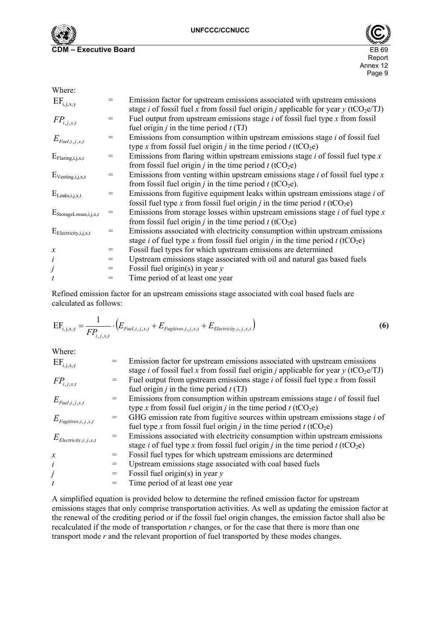



| Where:                               |     |                                                                                                                                                                                                           |
|--------------------------------------|-----|-----------------------------------------------------------------------------------------------------------------------------------------------------------------------------------------------------------|
| $\mathrm{EF}_{\mathrm{i,j,x,y}}$     | $=$ | Emission factor for upstream emissions associated with upstream emissions<br>stage <i>i</i> of fossil fuel <i>x</i> from fossil fuel origin <i>j</i> applicable for year <i>y</i> (tCO <sub>2</sub> e/TJ) |
| $FP_{i,j,x,t}$                       | $=$ | Fuel output from upstream emissions stage $i$ of fossil fuel type $x$ from fossil<br>fuel origin <i>j</i> in the time period $t(TJ)$                                                                      |
| $E_{\text{Full},i,j,x,t}$            | $=$ | Emissions from consumption within upstream emissions stage <i>i</i> of fossil fuel<br>type x from fossil fuel origin <i>j</i> in the time period <i>t</i> (tCO <sub>2</sub> e)                            |
| $E_{\text{Flaring},i,j,x,t}$         | $=$ | Emissions from flaring within upstream emissions stage $i$ of fossil fuel type $x$<br>from fossil fuel origin <i>j</i> in the time period <i>t</i> (tCO <sub>2</sub> e)                                   |
| $E_{\text{Vending},i,j,x,t}$         | $=$ | Emissions from venting within upstream emissions stage $i$ of fossil fuel type $x$<br>from fossil fuel origin <i>j</i> in the time period <i>t</i> (tCO <sub>2</sub> e).                                  |
| $E_{\text{Leaks},i,j,x,t}$           | $=$ | Emissions from fugitive equipment leaks within upstream emissions stage <i>i</i> of<br>fossil fuel type x from fossil fuel origin <i>j</i> in the time period $t$ (tCO <sub>2</sub> e)                    |
| $E_{\text{StorageLoss}, i, j, x, t}$ | $=$ | Emissions from storage losses within upstream emissions stage $i$ of fuel type $x$<br>from fossil fuel origin <i>j</i> in the time period <i>t</i> (tCO <sub>2</sub> e)                                   |
| $E_{Electricity,i,j,x,t}$            | $=$ | Emissions associated with electricity consumption within upstream emissions<br>stage <i>i</i> of fuel type <i>x</i> from fossil fuel origin <i>j</i> in the time period <i>t</i> (tCO <sub>2</sub> e)     |
| $\boldsymbol{\mathcal{X}}$           | $=$ | Fossil fuel types for which upstream emissions are determined                                                                                                                                             |
| $\dot{i}$                            | $=$ | Upstream emissions stage associated with oil and natural gas based fuels                                                                                                                                  |
| j                                    | $=$ | Fossil fuel origin(s) in year $y$                                                                                                                                                                         |
| $\boldsymbol{t}$                     | $=$ | Time period of at least one year                                                                                                                                                                          |

Refined emission factor for an upstream emissions stage associated with coal based fuels are calculated as follows:

$$
EF_{i,j,x,y} = \frac{1}{FP_{i,j,x,t}} \cdot (E_{\text{Fuel},i,j,x,t} + E_{\text{Fugitives},i,j,x,t} + E_{\text{Electricity},i,j,x,t})
$$
(6)

Where:

| $EF_{i,j,x,y}$                   |     | Emission factor for upstream emissions associated with upstream emissions<br>stage <i>i</i> of fossil fuel x from fossil fuel origin <i>j</i> applicable for year $y$ (tCO <sub>2</sub> e/TJ)         |
|----------------------------------|-----|-------------------------------------------------------------------------------------------------------------------------------------------------------------------------------------------------------|
| $FP_{i,j,x,t}$                   |     | Fuel output from upstream emissions stage <i>i</i> of fossil fuel type <i>x</i> from fossil<br>fuel origin <i>j</i> in the time period $t(TJ)$                                                        |
| $E_{\text{Euel},i,j,x,t}$        |     | Emissions from consumption within upstream emissions stage <i>i</i> of fossil fuel<br>type x from fossil fuel origin <i>j</i> in the time period <i>t</i> (tCO <sub>2</sub> e)                        |
| $E_{Fugitives,i,j,x,t}$          |     | GHG emission rate from fugitive sources within upstream emissions stage <i>i</i> of<br>fuel type x from fossil fuel origin <i>j</i> in the time period <i>t</i> (tCO <sub>2</sub> e)                  |
| $E_{\text{Electricity},i,j,x,t}$ |     | Emissions associated with electricity consumption within upstream emissions<br>stage <i>i</i> of fuel type <i>x</i> from fossil fuel origin <i>j</i> in the time period <i>t</i> (tCO <sub>2</sub> e) |
| $\boldsymbol{x}$                 |     | Fossil fuel types for which upstream emissions are determined                                                                                                                                         |
| i                                | $=$ | Upstream emissions stage associated with coal based fuels                                                                                                                                             |
|                                  | $=$ | Fossil fuel origin(s) in year $y$                                                                                                                                                                     |
| t                                |     | Time period of at least one year                                                                                                                                                                      |

A simplified equation is provided below to determine the refined emission factor for upstream emissions stages that only comprise transportation activities. As well as updating the emission factor at the renewal of the crediting period or if the fossil fuel origin changes, the emission factor shall also be recalculated if the mode of transportation *r* changes, or for the case that there is more than one transport mode *r* and the relevant proportion of fuel transported by these modes changes.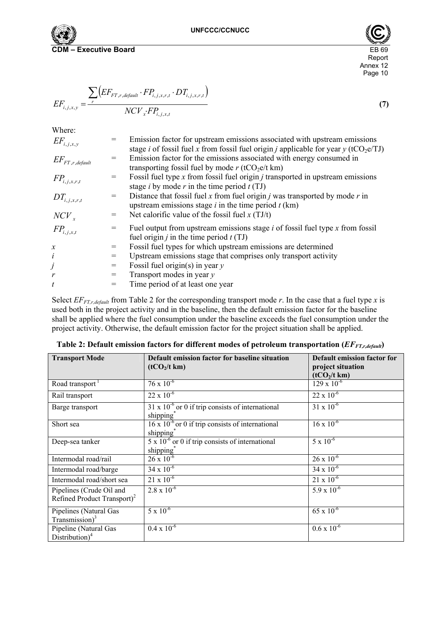



$$
EF_{i,j,x,y} = \frac{\sum_{r} \left( EF_{FT,r,degault} \cdot FP_{i,j,x,r,t} \cdot DT_{i,j,x,r,t} \right)}{NCV_x \cdot FP_{i,j,x,t}}
$$
\n
$$
(7)
$$

Where:

| $EF_{i,j,x,y}$               |     | Emission factor for upstream emissions associated with upstream emissions<br>stage <i>i</i> of fossil fuel x from fossil fuel origin <i>j</i> applicable for year $y$ (tCO <sub>2</sub> e/TJ) |
|------------------------------|-----|-----------------------------------------------------------------------------------------------------------------------------------------------------------------------------------------------|
| $\mathit{EF}_{FT,r,default}$ |     | Emission factor for the emissions associated with energy consumed in<br>transporting fossil fuel by mode $r$ (tCO <sub>2</sub> e/t km)                                                        |
| $FP_{i,j,x,r,t}$             |     | Fossil fuel type $x$ from fossil fuel origin $j$ transported in upstream emissions<br>stage <i>i</i> by mode <i>r</i> in the time period $t(TJ)$                                              |
| $DT_{i,j,x,r,t}$             | $=$ | Distance that fossil fuel x from fuel origin $j$ was transported by mode $r$ in<br>upstream emissions stage $i$ in the time period $t$ (km)                                                   |
| $NCV_x$                      |     | Net calorific value of the fossil fuel $x(TJ/t)$                                                                                                                                              |
| $FP_{i,j,x,t}$               |     | Fuel output from upstream emissions stage $i$ of fossil fuel type $x$ from fossil<br>fuel origin <i>j</i> in the time period $t(TJ)$                                                          |
| $\boldsymbol{x}$             | $=$ | Fossil fuel types for which upstream emissions are determined                                                                                                                                 |
| i                            | $=$ | Upstream emissions stage that comprises only transport activity                                                                                                                               |
| j                            | $=$ | Fossil fuel origin(s) in year $y$                                                                                                                                                             |
| $\boldsymbol{r}$             |     | Transport modes in year $y$                                                                                                                                                                   |
| $\boldsymbol{t}$             |     | Time period of at least one year                                                                                                                                                              |
|                              |     |                                                                                                                                                                                               |

Select  $E_{FT,r,default}$  from Table 2 for the corresponding transport mode *r*. In the case that a fuel type *x* is used both in the project activity and in the baseline, then the default emission factor for the baseline shall be applied where the fuel consumption under the baseline exceeds the fuel consumption under the project activity. Otherwise, the default emission factor for the project situation shall be applied.

| <b>Transport Mode</b>                                               | Default emission factor for baseline situation                                      | <b>Default emission factor for</b>            |
|---------------------------------------------------------------------|-------------------------------------------------------------------------------------|-----------------------------------------------|
|                                                                     | (tCO <sub>2</sub> /t km)                                                            | project situation<br>(tCO <sub>2</sub> /t km) |
| Road transport                                                      | $76 \times 10^{-6}$                                                                 | $129 \times 10^{-6}$                          |
| Rail transport                                                      | $22 \times 10^{-6}$                                                                 | $22 \times 10^{-6}$                           |
| Barge transport                                                     | $31 \times 10^{-6}$ or 0 if trip consists of international<br>shipping <sup>*</sup> | $31 \times 10^{-6}$                           |
| Short sea                                                           | $16 \times 10^{-6}$ or 0 if trip consists of international<br>shipping <sup>*</sup> | $16 \times 10^{-6}$                           |
| Deep-sea tanker                                                     | $5 \times 10^{-6}$ or 0 if trip consists of international<br>shipping <sup>®</sup>  | $5 \times 10^{-6}$                            |
| Intermodal road/rail                                                | $26 \times 10^{-6}$                                                                 | $26 \times 10^{-6}$                           |
| Intermodal road/barge                                               | $34 \times 10^{-6}$                                                                 | $34 \times 10^{-6}$                           |
| Intermodal road/short sea                                           | $21 \times 10^{-6}$                                                                 | $21 \times 10^{-6}$                           |
| Pipelines (Crude Oil and<br>Refined Product Transport) <sup>2</sup> | $2.8 \times 10^{-6}$                                                                | $5.9 \times 10^{-6}$                          |
| Pipelines (Natural Gas<br>Transmission) $3$                         | $5 \times 10^{-6}$                                                                  | $65 \times 10^{-6}$                           |
| Pipeline (Natural Gas<br>Distribution) $4$                          | $0.4 \times 10^{-6}$                                                                | $0.6 \times 10^{-6}$                          |

Table 2: Default emission factors for different modes of petroleum transportation ( $EF_{FT,r,deg_{t}}$ )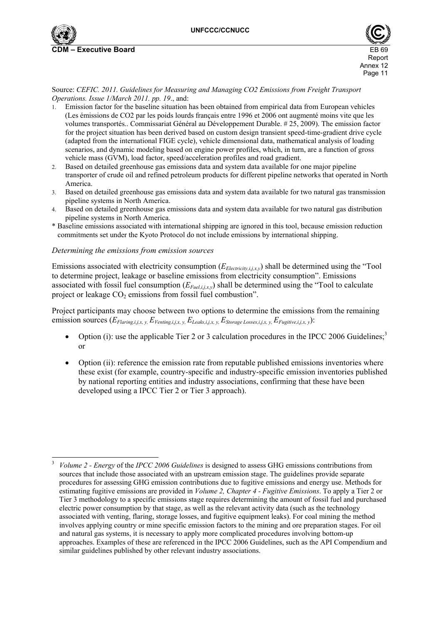



Source: *CEFIC. 2011. Guidelines for Measuring and Managing CO2 Emissions from Freight Transport Operations. Issue 1/March 2011. pp. 19*., and:

- 1. Emission factor for the baseline situation has been obtained from empirical data from European vehicles (Les émissions de CO2 par les poids lourds français entre 1996 et 2006 ont augmenté moins vite que les volumes transportés.. Commissariat Général au Développement Durable. # 25, 2009). The emission factor for the project situation has been derived based on custom design transient speed-time-gradient drive cycle (adapted from the international FIGE cycle), vehicle dimensional data, mathematical analysis of loading scenarios, and dynamic modeling based on engine power profiles, which, in turn, are a function of gross vehicle mass (GVM), load factor, speed/acceleration profiles and road gradient.
- 2. Based on detailed greenhouse gas emissions data and system data available for one major pipeline transporter of crude oil and refined petroleum products for different pipeline networks that operated in North America.
- 3. Based on detailed greenhouse gas emissions data and system data available for two natural gas transmission pipeline systems in North America.
- 4. Based on detailed greenhouse gas emissions data and system data available for two natural gas distribution pipeline systems in North America.
- \* Baseline emissions associated with international shipping are ignored in this tool, because emission reduction commitments set under the Kyoto Protocol do not include emissions by international shipping.

#### *Determining the emissions from emission sources*

 $\overline{a}$ 

Emissions associated with electricity consumption (*E<sub>Electricity,i,j,x,y*) shall be determined using the "Tool</sub> to determine project, leakage or baseline emissions from electricity consumption". Emissions associated with fossil fuel consumption (*EFuel,i,j,x,y*) shall be determined using the "Tool to calculate project or leakage  $CO<sub>2</sub>$  emissions from fossil fuel combustion".

Project participants may choose between two options to determine the emissions from the remaining emission sources  $(E_{Flaring,i,j,x, y}, E_{Vending,i,j,x, y}, E_{Leaks,i,j,x, y}, E_{Storage Losses,i,j,x, y}, E_{Fugitive,i,j,x, y})$ :

- Option (i): use the applicable Tier 2 or 3 calculation procedures in the IPCC 2006 Guidelines;<sup>3</sup> or
- Option (ii): reference the emission rate from reputable published emissions inventories where these exist (for example, country-specific and industry-specific emission inventories published by national reporting entities and industry associations, confirming that these have been developed using a IPCC Tier 2 or Tier 3 approach).

<sup>3</sup> *Volume 2 - Energy* of the *IPCC 2006 Guidelines* is designed to assess GHG emissions contributions from sources that include those associated with an upstream emission stage. The guidelines provide separate procedures for assessing GHG emission contributions due to fugitive emissions and energy use. Methods for estimating fugitive emissions are provided in *Volume 2, Chapter 4 - Fugitive Emissions*. To apply a Tier 2 or Tier 3 methodology to a specific emissions stage requires determining the amount of fossil fuel and purchased electric power consumption by that stage, as well as the relevant activity data (such as the technology associated with venting, flaring, storage losses, and fugitive equipment leaks). For coal mining the method involves applying country or mine specific emission factors to the mining and ore preparation stages. For oil and natural gas systems, it is necessary to apply more complicated procedures involving bottom-up approaches. Examples of these are referenced in the IPCC 2006 Guidelines, such as the API Compendium and similar guidelines published by other relevant industry associations.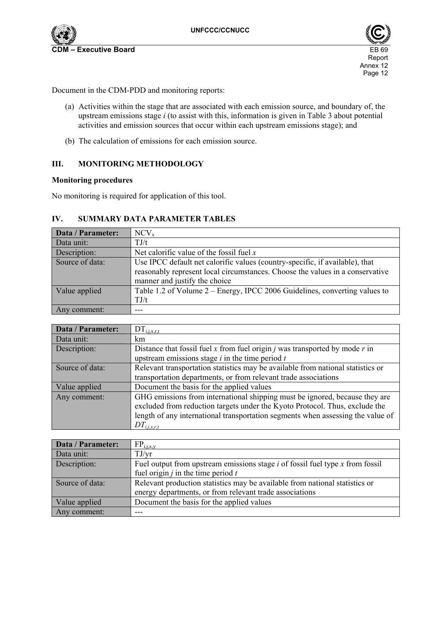



Document in the CDM-PDD and monitoring reports:

- (a) Activities within the stage that are associated with each emission source, and boundary of, the upstream emissions stage *i* (to assist with this, information is given in Table 3 about potential activities and emission sources that occur within each upstream emissions stage); and
- (b) The calculation of emissions for each emission source.

### **III. MONITORING METHODOLOGY**

#### **Monitoring procedures**

No monitoring is required for application of this tool.

## **IV. SUMMARY DATA PARAMETER TABLES**

| Data / Parameter: | NCV <sub>x</sub>                                                              |
|-------------------|-------------------------------------------------------------------------------|
| Data unit:        | TJ/t                                                                          |
| Description:      | Net calorific value of the fossil fuel $x$                                    |
| Source of data:   | Use IPCC default net calorific values (country-specific, if available), that  |
|                   | reasonably represent local circumstances. Choose the values in a conservative |
|                   | manner and justify the choice                                                 |
| Value applied     | Table 1.2 of Volume 2 – Energy, IPCC 2006 Guidelines, converting values to    |
|                   | TJ/t                                                                          |
| Any comment:      |                                                                               |

| Data / Parameter: | $DT_{i,i,x,r,t}$                                                                                                                                           |
|-------------------|------------------------------------------------------------------------------------------------------------------------------------------------------------|
| Data unit:        | km                                                                                                                                                         |
| Description:      | Distance that fossil fuel x from fuel origin <i>j</i> was transported by mode $r$ in                                                                       |
|                   | upstream emissions stage $i$ in the time period $t$                                                                                                        |
| Source of data:   | Relevant transportation statistics may be available from national statistics or                                                                            |
|                   | transportation departments, or from relevant trade associations                                                                                            |
| Value applied     | Document the basis for the applied values                                                                                                                  |
| Any comment:      | GHG emissions from international shipping must be ignored, because they are<br>excluded from reduction targets under the Kyoto Protocol. Thus, exclude the |
|                   | length of any international transportation segments when assessing the value of                                                                            |
|                   | $DT_{i,i,\underline{x},\underline{r},t}$                                                                                                                   |

| Data / Parameter: | $FP_{i,j,x,y}$                                                                    |
|-------------------|-----------------------------------------------------------------------------------|
| Data unit:        | TJ/yr                                                                             |
| Description:      | Fuel output from upstream emissions stage $i$ of fossil fuel type $x$ from fossil |
|                   | fuel origin $j$ in the time period $t$                                            |
| Source of data:   | Relevant production statistics may be available from national statistics or       |
|                   | energy departments, or from relevant trade associations                           |
| Value applied     | Document the basis for the applied values                                         |
| Any comment:      |                                                                                   |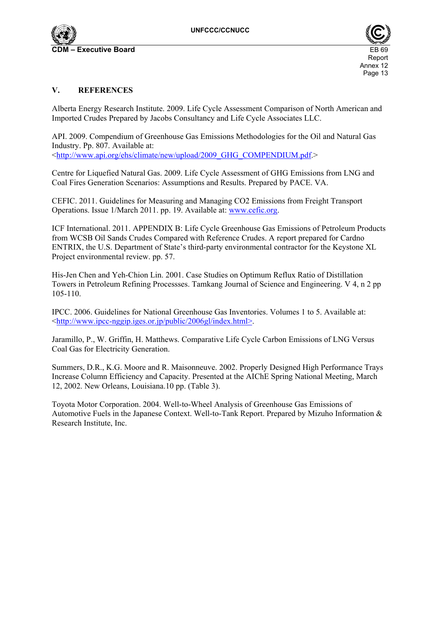



## **V. REFERENCES**

Alberta Energy Research Institute. 2009. Life Cycle Assessment Comparison of North American and Imported Crudes Prepared by Jacobs Consultancy and Life Cycle Associates LLC.

API. 2009. Compendium of Greenhouse Gas Emissions Methodologies for the Oil and Natural Gas Industry. Pp. 807. Available at: <http://www.api.org/ehs/climate/new/upload/2009\_GHG\_COMPENDIUM.pdf.>

Centre for Liquefied Natural Gas. 2009. Life Cycle Assessment of GHG Emissions from LNG and Coal Fires Generation Scenarios: Assumptions and Results. Prepared by PACE. VA.

CEFIC. 2011. Guidelines for Measuring and Managing CO2 Emissions from Freight Transport Operations. Issue 1/March 2011. pp. 19. Available at: www.cefic.org.

ICF International. 2011. APPENDIX B: Life Cycle Greenhouse Gas Emissions of Petroleum Products from WCSB Oil Sands Crudes Compared with Reference Crudes. A report prepared for Cardno ENTRIX, the U.S. Department of State's third-party environmental contractor for the Keystone XL Project environmental review. pp. 57.

His-Jen Chen and Yeh-Chion Lin. 2001. Case Studies on Optimum Reflux Ratio of Distillation Towers in Petroleum Refining Processses. Tamkang Journal of Science and Engineering. V 4, n 2 pp 105-110.

IPCC. 2006. Guidelines for National Greenhouse Gas Inventories. Volumes 1 to 5. Available at: <http://www.ipcc-nggip.iges.or.jp/public/2006gl/index.html>.

Jaramillo, P., W. Griffin, H. Matthews. Comparative Life Cycle Carbon Emissions of LNG Versus Coal Gas for Electricity Generation.

Summers, D.R., K.G. Moore and R. Maisonneuve. 2002. Properly Designed High Performance Trays Increase Column Efficiency and Capacity. Presented at the AIChE Spring National Meeting, March 12, 2002. New Orleans, Louisiana.10 pp. (Table 3).

Toyota Motor Corporation. 2004. Well-to-Wheel Analysis of Greenhouse Gas Emissions of Automotive Fuels in the Japanese Context. Well-to-Tank Report. Prepared by Mizuho Information & Research Institute, Inc.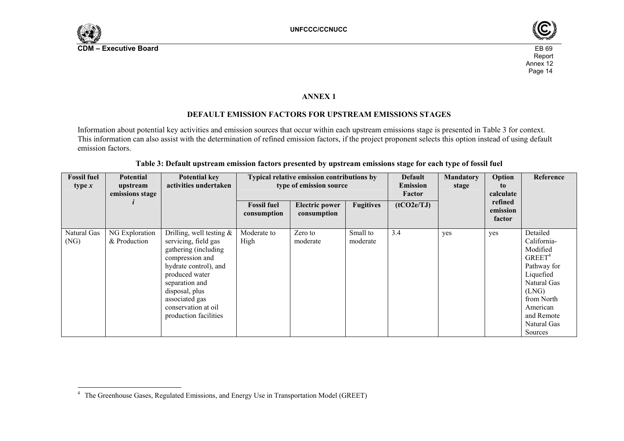



### **ANNEX 1**

## **DEFAULT EMISSION FACTORS FOR UPSTREAM EMISSIONS STAGES**

Information about potential key activities and emission sources that occur within each upstream emissions stage is presented in Table 3 for context. This information can also assist with the determination of refined emission factors, if the project proponent selects this option instead of using default emission factors.

| <b>Fossil fuel</b><br>type $x$ | <b>Potential</b><br>upstream<br>emissions stage | <b>Potential key</b><br>activities undertaken                                                                                                                                                                                                   | Typical relative emission contributions by<br>type of emission source |                                      |                      | <b>Default</b><br><b>Emission</b><br>Factor | <b>Mandatory</b><br>stage | Option<br>to<br>calculate     | Reference                                                                                                                                                                      |
|--------------------------------|-------------------------------------------------|-------------------------------------------------------------------------------------------------------------------------------------------------------------------------------------------------------------------------------------------------|-----------------------------------------------------------------------|--------------------------------------|----------------------|---------------------------------------------|---------------------------|-------------------------------|--------------------------------------------------------------------------------------------------------------------------------------------------------------------------------|
|                                |                                                 |                                                                                                                                                                                                                                                 | <b>Fossil fuel</b><br>consumption                                     | <b>Electric power</b><br>consumption | <b>Fugitives</b>     | (tCO2e/TJ)                                  |                           | refined<br>emission<br>factor |                                                                                                                                                                                |
| Natural Gas<br>(NG)            | NG Exploration<br>& Production                  | Drilling, well testing $\&$<br>servicing, field gas<br>gathering (including<br>compression and<br>hydrate control), and<br>produced water<br>separation and<br>disposal, plus<br>associated gas<br>conservation at oil<br>production facilities | Moderate to<br>High                                                   | Zero to<br>moderate                  | Small to<br>moderate | 3.4                                         | yes                       | yes                           | Detailed<br>California-<br>Modified<br>GREF <sup>4</sup><br>Pathway for<br>Liquefied<br>Natural Gas<br>(LNG)<br>from North<br>American<br>and Remote<br>Natural Gas<br>Sources |

#### **Table 3: Default upstream emission factors presented by upstream emissions stage for each type of fossil fuel**

<sup>&</sup>lt;sup>4</sup> The Greenhouse Gases, Regulated Emissions, and Energy Use in Transportation Model (GREET)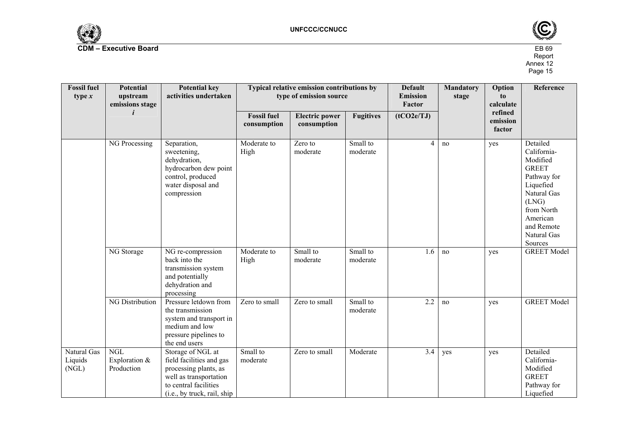



| <b>Fossil fuel</b><br>type $x$  | Potential<br>upstream<br>emissions stage  | <b>Potential key</b><br>activities undertaken                                                                                                            |                                   | Typical relative emission contributions by<br>type of emission source |                      | <b>Default</b><br><b>Mandatory</b><br><b>Emission</b><br>stage<br>Factor |     | Option<br>to<br>calculate     | Reference                                                                                                                                                                 |
|---------------------------------|-------------------------------------------|----------------------------------------------------------------------------------------------------------------------------------------------------------|-----------------------------------|-----------------------------------------------------------------------|----------------------|--------------------------------------------------------------------------|-----|-------------------------------|---------------------------------------------------------------------------------------------------------------------------------------------------------------------------|
|                                 |                                           |                                                                                                                                                          | <b>Fossil fuel</b><br>consumption | <b>Electric power</b><br>consumption                                  | <b>Fugitives</b>     | (tCO2e/TJ)                                                               |     | refined<br>emission<br>factor |                                                                                                                                                                           |
|                                 | NG Processing                             | Separation,<br>sweetening,<br>dehydration,<br>hydrocarbon dew point<br>control, produced<br>water disposal and<br>compression                            | Moderate to<br>High               | Zero to<br>moderate                                                   | Small to<br>moderate | 4                                                                        | no  | yes                           | Detailed<br>California-<br>Modified<br><b>GREET</b><br>Pathway for<br>Liquefied<br>Natural Gas<br>(LNG)<br>from North<br>American<br>and Remote<br>Natural Gas<br>Sources |
|                                 | NG Storage                                | NG re-compression<br>back into the<br>transmission system<br>and potentially<br>dehydration and<br>processing                                            | Moderate to<br>High               | Small to<br>moderate                                                  | Small to<br>moderate | 1.6                                                                      | no  | yes                           | <b>GREET Model</b>                                                                                                                                                        |
|                                 | <b>NG Distribution</b>                    | Pressure letdown from<br>the transmission<br>system and transport in<br>medium and low<br>pressure pipelines to<br>the end users                         | Zero to small                     | Zero to small                                                         | Small to<br>moderate | 2.2                                                                      | no  | yes                           | <b>GREET Model</b>                                                                                                                                                        |
| Natural Gas<br>Liquids<br>(NGL) | <b>NGL</b><br>Exploration &<br>Production | Storage of NGL at<br>field facilities and gas<br>processing plants, as<br>well as transportation<br>to central facilities<br>(i.e., by truck, rail, ship | Small to<br>moderate              | Zero to small                                                         | Moderate             | 3.4                                                                      | yes | yes                           | Detailed<br>California-<br>Modified<br><b>GREET</b><br>Pathway for<br>Liquefied                                                                                           |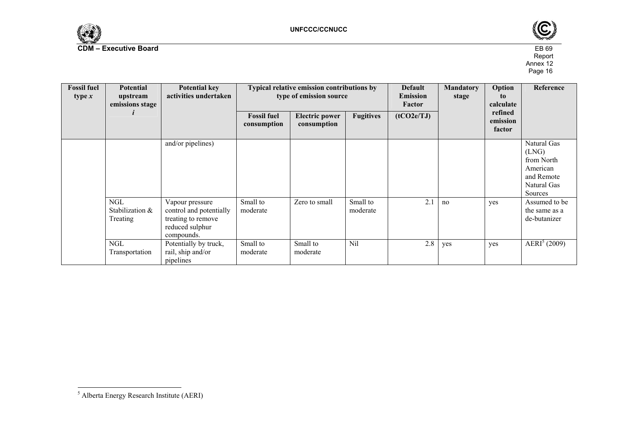



| <b>Fossil fuel</b><br>type $x$ | <b>Potential</b><br>upstream<br>emissions stage | <b>Potential key</b><br>activities undertaken                                                     | Typical relative emission contributions by<br>type of emission source |                                      |                      | <b>Default</b><br><b>Mandatory</b><br><b>Emission</b><br>stage<br>Factor |     | Option<br>to<br>calculate     | Reference                                                                              |
|--------------------------------|-------------------------------------------------|---------------------------------------------------------------------------------------------------|-----------------------------------------------------------------------|--------------------------------------|----------------------|--------------------------------------------------------------------------|-----|-------------------------------|----------------------------------------------------------------------------------------|
|                                |                                                 |                                                                                                   | <b>Fossil fuel</b><br>consumption                                     | <b>Electric power</b><br>consumption | <b>Fugitives</b>     | (tCO2e/TJ)                                                               |     | refined<br>emission<br>factor |                                                                                        |
|                                |                                                 | and/or pipelines)                                                                                 |                                                                       |                                      |                      |                                                                          |     |                               | Natural Gas<br>(LNG)<br>from North<br>American<br>and Remote<br>Natural Gas<br>Sources |
|                                | <b>NGL</b><br>Stabilization &<br>Treating       | Vapour pressure<br>control and potentially<br>treating to remove<br>reduced sulphur<br>compounds. | Small to<br>moderate                                                  | Zero to small                        | Small to<br>moderate | 2.1                                                                      | no  | yes                           | Assumed to be<br>the same as a<br>de-butanizer                                         |
|                                | <b>NGL</b><br>Transportation                    | Potentially by truck,<br>rail, ship and/or<br>pipelines                                           | Small to<br>moderate                                                  | Small to<br>moderate                 | Nil                  | 2.8                                                                      | yes | yes                           | AERI <sup>5</sup> (2009)                                                               |

<sup>5</sup> Alberta Energy Research Institute (AERI)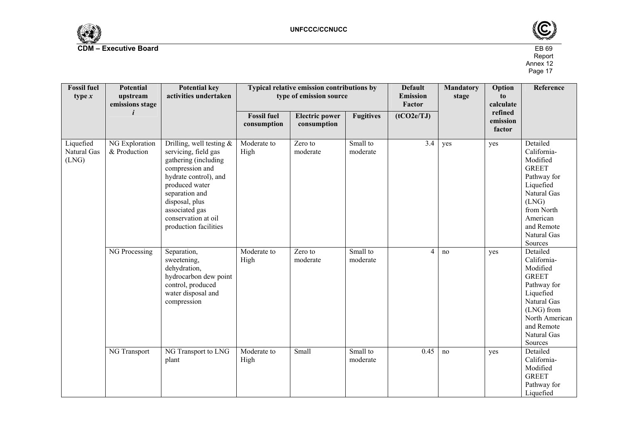



| <b>Fossil fuel</b><br>type $x$    | <b>Potential</b><br>upstream<br>emissions stage | <b>Potential key</b><br>activities undertaken                                                                                                                                                                                                                                                 | Typical relative emission contributions by<br>type of emission source |                                            |                                              | <b>Default</b><br><b>Mandatory</b><br><b>Emission</b><br>stage<br>Factor |           | Option<br>to<br>calculate     | Reference                                                                                                                                                                                                        |
|-----------------------------------|-------------------------------------------------|-----------------------------------------------------------------------------------------------------------------------------------------------------------------------------------------------------------------------------------------------------------------------------------------------|-----------------------------------------------------------------------|--------------------------------------------|----------------------------------------------|--------------------------------------------------------------------------|-----------|-------------------------------|------------------------------------------------------------------------------------------------------------------------------------------------------------------------------------------------------------------|
|                                   |                                                 |                                                                                                                                                                                                                                                                                               | <b>Fossil fuel</b><br>consumption                                     | <b>Electric power</b><br>consumption       | <b>Fugitives</b>                             | (tCO2e/TJ)                                                               |           | refined<br>emission<br>factor |                                                                                                                                                                                                                  |
| Liquefied<br>Natural Gas<br>(LNG) | NG Exploration<br>& Production<br>NG Processing | Drilling, well testing $\&$<br>servicing, field gas<br>gathering (including<br>compression and<br>hydrate control), and<br>produced water<br>separation and<br>disposal, plus<br>associated gas<br>conservation at oil<br>production facilities<br>Separation,<br>sweetening,<br>dehydration, | Moderate to<br>High<br>Moderate to<br>High                            | Zero to<br>moderate<br>Zero to<br>moderate | Small to<br>moderate<br>Small to<br>moderate | $\overline{3.4}$<br>4                                                    | yes<br>no | yes<br>yes                    | Detailed<br>California-<br>Modified<br><b>GREET</b><br>Pathway for<br>Liquefied<br>Natural Gas<br>(LNG)<br>from North<br>American<br>and Remote<br>Natural Gas<br>Sources<br>Detailed<br>California-<br>Modified |
|                                   | NG Transport                                    | hydrocarbon dew point<br>control, produced<br>water disposal and<br>compression<br>NG Transport to LNG                                                                                                                                                                                        | Moderate to                                                           | Small                                      | Small to                                     | 0.45                                                                     | no        | yes                           | <b>GREET</b><br>Pathway for<br>Liquefied<br>Natural Gas<br>(LNG) from<br>North American<br>and Remote<br>Natural Gas<br>Sources<br>Detailed                                                                      |
|                                   |                                                 | plant                                                                                                                                                                                                                                                                                         | High                                                                  |                                            | moderate                                     |                                                                          |           |                               | California-<br>Modified<br><b>GREET</b><br>Pathway for<br>Liquefied                                                                                                                                              |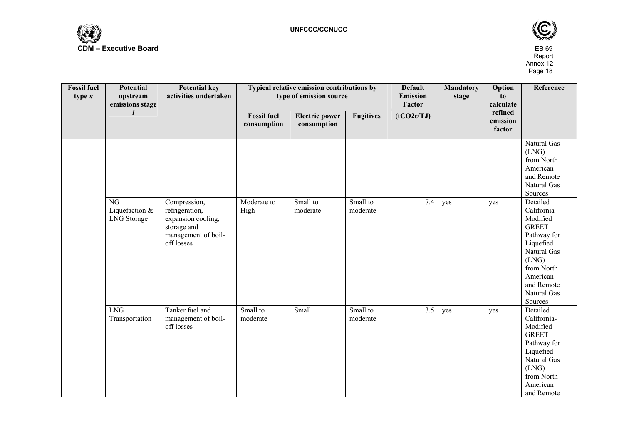



| <b>Fossil</b> fuel<br>type $x$ | <b>Potential</b><br>upstream<br>emissions stage                | <b>Potential key</b><br>activities undertaken                                                            |                                   | Typical relative emission contributions by<br>type of emission source |                      |            | <b>Mandatory</b><br>stage | Option<br>to<br>calculate     | Reference                                                                                                                                                                 |
|--------------------------------|----------------------------------------------------------------|----------------------------------------------------------------------------------------------------------|-----------------------------------|-----------------------------------------------------------------------|----------------------|------------|---------------------------|-------------------------------|---------------------------------------------------------------------------------------------------------------------------------------------------------------------------|
|                                |                                                                |                                                                                                          | <b>Fossil fuel</b><br>consumption | <b>Electric power</b><br>consumption                                  | <b>Fugitives</b>     | (tCO2e/TJ) |                           | refined<br>emission<br>factor |                                                                                                                                                                           |
|                                |                                                                |                                                                                                          |                                   |                                                                       |                      |            |                           |                               | Natural Gas<br>(LNG)<br>from North<br>American<br>and Remote<br>Natural Gas<br>Sources                                                                                    |
|                                | $\overline{\text{NG}}$<br>Liquefaction &<br><b>LNG</b> Storage | Compression,<br>refrigeration,<br>expansion cooling,<br>storage and<br>management of boil-<br>off losses | Moderate to<br>High               | Small to<br>moderate                                                  | Small to<br>moderate | 7.4        | yes                       | yes                           | Detailed<br>California-<br>Modified<br><b>GREET</b><br>Pathway for<br>Liquefied<br>Natural Gas<br>(LNG)<br>from North<br>American<br>and Remote<br>Natural Gas<br>Sources |
|                                | LNG<br>Transportation                                          | Tanker fuel and<br>management of boil-<br>off losses                                                     | Small to<br>moderate              | Small                                                                 | Small to<br>moderate | 3.5        | yes                       | yes                           | Detailed<br>California-<br>Modified<br><b>GREET</b><br>Pathway for<br>Liquefied<br>Natural Gas<br>(LNG)<br>from North<br>American<br>and Remote                           |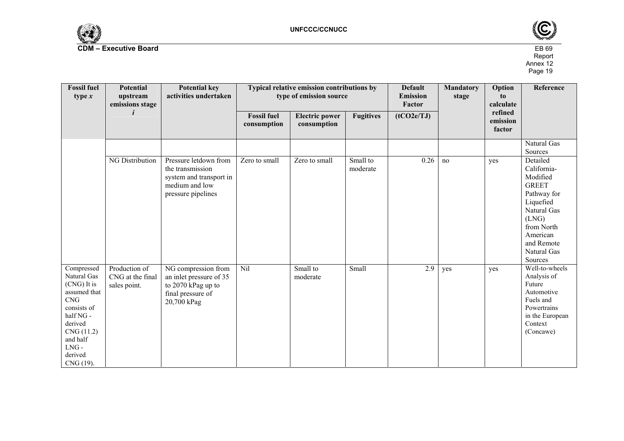



| <b>Fossil fuel</b><br>type $x$                                                                                                                                      | Potential<br>upstream<br>emissions stage          | <b>Potential key</b><br>activities undertaken                                                                |                                   | Typical relative emission contributions by<br>type of emission source |                      |            | Option<br><b>Mandatory</b><br>to<br>stage<br>refined | calculate          | Reference                                                                                                                                                                 |
|---------------------------------------------------------------------------------------------------------------------------------------------------------------------|---------------------------------------------------|--------------------------------------------------------------------------------------------------------------|-----------------------------------|-----------------------------------------------------------------------|----------------------|------------|------------------------------------------------------|--------------------|---------------------------------------------------------------------------------------------------------------------------------------------------------------------------|
|                                                                                                                                                                     |                                                   |                                                                                                              | <b>Fossil fuel</b><br>consumption | <b>Electric power</b><br>consumption                                  | <b>Fugitives</b>     | (tCO2e/TJ) |                                                      | emission<br>factor |                                                                                                                                                                           |
|                                                                                                                                                                     |                                                   |                                                                                                              |                                   |                                                                       |                      |            |                                                      |                    | Natural Gas<br>Sources                                                                                                                                                    |
|                                                                                                                                                                     | <b>NG Distribution</b>                            | Pressure letdown from<br>the transmission<br>system and transport in<br>medium and low<br>pressure pipelines | Zero to small                     | Zero to small                                                         | Small to<br>moderate | 0.26       | no                                                   | yes                | Detailed<br>California-<br>Modified<br><b>GREET</b><br>Pathway for<br>Liquefied<br>Natural Gas<br>(LNG)<br>from North<br>American<br>and Remote<br>Natural Gas<br>Sources |
| Compressed<br>Natural Gas<br>(CNG) It is<br>assumed that<br>CNG<br>consists of<br>half NG -<br>derived<br>CNG (11.2)<br>and half<br>$LNG -$<br>derived<br>CNG (19). | Production of<br>CNG at the final<br>sales point. | NG compression from<br>an inlet pressure of 35<br>to 2070 kPag up to<br>final pressure of<br>20,700 kPag     | Nil                               | Small to<br>moderate                                                  | Small                | 2.9        | yes                                                  | yes                | Well-to-wheels<br>Analysis of<br>Future<br>Automotive<br>Fuels and<br>Powertrains<br>in the European<br>Context<br>(Concawe)                                              |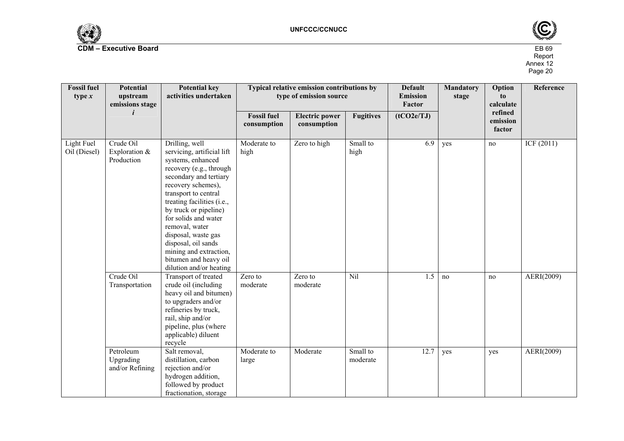



| <b>Fossil fuel</b><br>type $x$ | <b>Potential</b><br>upstream<br>emissions stage | <b>Potential key</b><br>activities undertaken                                                                                                                                                                                                                                                                                                                                                     |                                   | Typical relative emission contributions by<br>type of emission source |                      |                      | <b>Mandatory</b><br>stage | Option<br>to<br>calculate     | <b>Reference</b> |
|--------------------------------|-------------------------------------------------|---------------------------------------------------------------------------------------------------------------------------------------------------------------------------------------------------------------------------------------------------------------------------------------------------------------------------------------------------------------------------------------------------|-----------------------------------|-----------------------------------------------------------------------|----------------------|----------------------|---------------------------|-------------------------------|------------------|
|                                | i                                               |                                                                                                                                                                                                                                                                                                                                                                                                   | <b>Fossil fuel</b><br>consumption | <b>Electric power</b><br>consumption                                  | <b>Fugitives</b>     | Factor<br>(tCO2e/TJ) |                           | refined<br>emission<br>factor |                  |
| Light Fuel<br>Oil (Diesel)     | Crude Oil<br>Exploration $&$<br>Production      | Drilling, well<br>servicing, artificial lift<br>systems, enhanced<br>recovery (e.g., through<br>secondary and tertiary<br>recovery schemes),<br>transport to central<br>treating facilities (i.e.,<br>by truck or pipeline)<br>for solids and water<br>removal, water<br>disposal, waste gas<br>disposal, oil sands<br>mining and extraction,<br>bitumen and heavy oil<br>dilution and/or heating | Moderate to<br>high               | Zero to high                                                          | Small to<br>high     | 6.9                  | yes                       | no                            | ICF (2011)       |
|                                | Crude Oil<br>Transportation                     | Transport of treated<br>crude oil (including<br>heavy oil and bitumen)<br>to upgraders and/or<br>refineries by truck,<br>rail, ship and/or<br>pipeline, plus (where<br>applicable) diluent<br>recycle                                                                                                                                                                                             | Zero to<br>moderate               | Zero to<br>moderate                                                   | Nil                  | 1.5                  | no                        | no                            | AERI(2009)       |
|                                | Petroleum<br>Upgrading<br>and/or Refining       | Salt removal,<br>distillation, carbon<br>rejection and/or<br>hydrogen addition,<br>followed by product<br>fractionation, storage                                                                                                                                                                                                                                                                  | Moderate to<br>large              | Moderate                                                              | Small to<br>moderate | 12.7                 | yes                       | yes                           | AERI(2009)       |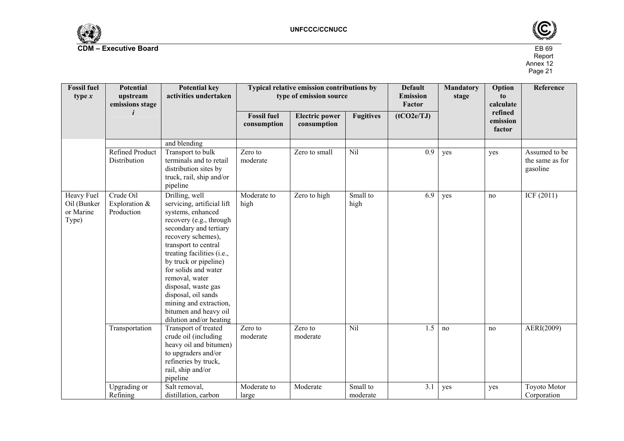



| <b>Fossil fuel</b><br>type $x$                  | <b>Potential</b><br>upstream<br>emissions stage | <b>Potential key</b><br>activities undertaken                                                                                                                                                                                                                                                                                                                                                     | Typical relative emission contributions by<br>type of emission source |                                      |                      | <b>Default</b><br><b>Emission</b><br>Factor | <b>Mandatory</b><br>stage | Option<br>to<br>calculate     | Reference                                    |
|-------------------------------------------------|-------------------------------------------------|---------------------------------------------------------------------------------------------------------------------------------------------------------------------------------------------------------------------------------------------------------------------------------------------------------------------------------------------------------------------------------------------------|-----------------------------------------------------------------------|--------------------------------------|----------------------|---------------------------------------------|---------------------------|-------------------------------|----------------------------------------------|
|                                                 |                                                 |                                                                                                                                                                                                                                                                                                                                                                                                   | <b>Fossil fuel</b><br>consumption                                     | <b>Electric power</b><br>consumption | <b>Fugitives</b>     | (tCO2e/TJ)                                  |                           | refined<br>emission<br>factor |                                              |
|                                                 |                                                 | and blending                                                                                                                                                                                                                                                                                                                                                                                      |                                                                       |                                      |                      |                                             |                           |                               |                                              |
|                                                 | Refined Product<br>Distribution                 | Transport to bulk<br>terminals and to retail<br>distribution sites by<br>truck, rail, ship and/or<br>pipeline                                                                                                                                                                                                                                                                                     | Zero to<br>moderate                                                   | Zero to small                        | Nil                  | 0.9                                         | yes                       | yes                           | Assumed to be<br>the same as for<br>gasoline |
| Heavy Fuel<br>Oil (Bunker<br>or Marine<br>Type) | Crude Oil<br>Exploration &<br>Production        | Drilling, well<br>servicing, artificial lift<br>systems, enhanced<br>recovery (e.g., through<br>secondary and tertiary<br>recovery schemes),<br>transport to central<br>treating facilities (i.e.,<br>by truck or pipeline)<br>for solids and water<br>removal, water<br>disposal, waste gas<br>disposal, oil sands<br>mining and extraction,<br>bitumen and heavy oil<br>dilution and/or heating | Moderate to<br>high                                                   | Zero to high                         | Small to<br>high     | 6.9                                         | yes                       | no                            | ICF (2011)                                   |
|                                                 | Transportation                                  | Transport of treated<br>crude oil (including<br>heavy oil and bitumen)<br>to upgraders and/or<br>refineries by truck,<br>rail, ship and/or<br>pipeline                                                                                                                                                                                                                                            | Zero to<br>moderate                                                   | Zero to<br>moderate                  | Nil                  | 1.5                                         | no                        | no                            | AERI(2009)                                   |
|                                                 | Upgrading or<br>Refining                        | Salt removal,<br>distillation, carbon                                                                                                                                                                                                                                                                                                                                                             | Moderate to<br>large                                                  | Moderate                             | Small to<br>moderate | 3.1                                         | yes                       | yes                           | <b>Toyoto Motor</b><br>Corporation           |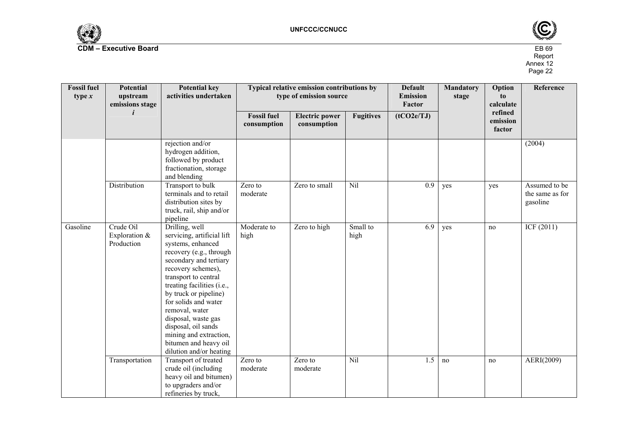



| <b>Fossil fuel</b><br>type $x$ | Potential<br>upstream<br>emissions stage | <b>Potential key</b><br>activities undertaken                                                                                                                                                                                                                                                                                                                                                     |                                   | Typical relative emission contributions by<br>type of emission source |                  |            | <b>Mandatory</b><br>stage | Option<br>to<br>calculate     | Reference                                    |
|--------------------------------|------------------------------------------|---------------------------------------------------------------------------------------------------------------------------------------------------------------------------------------------------------------------------------------------------------------------------------------------------------------------------------------------------------------------------------------------------|-----------------------------------|-----------------------------------------------------------------------|------------------|------------|---------------------------|-------------------------------|----------------------------------------------|
|                                |                                          |                                                                                                                                                                                                                                                                                                                                                                                                   | <b>Fossil fuel</b><br>consumption | <b>Electric power</b><br>consumption                                  | <b>Fugitives</b> | (tCO2e/TJ) |                           | refined<br>emission<br>factor |                                              |
|                                |                                          | rejection and/or<br>hydrogen addition,<br>followed by product<br>fractionation, storage<br>and blending                                                                                                                                                                                                                                                                                           |                                   |                                                                       |                  |            |                           |                               | (2004)                                       |
|                                | Distribution                             | Transport to bulk<br>terminals and to retail<br>distribution sites by<br>truck, rail, ship and/or<br>pipeline                                                                                                                                                                                                                                                                                     | Zero to<br>moderate               | Zero to small                                                         | Nil              | 0.9        | yes                       | yes                           | Assumed to be<br>the same as for<br>gasoline |
| Gasoline                       | Crude Oil<br>Exploration &<br>Production | Drilling, well<br>servicing, artificial lift<br>systems, enhanced<br>recovery (e.g., through<br>secondary and tertiary<br>recovery schemes),<br>transport to central<br>treating facilities (i.e.,<br>by truck or pipeline)<br>for solids and water<br>removal, water<br>disposal, waste gas<br>disposal, oil sands<br>mining and extraction,<br>bitumen and heavy oil<br>dilution and/or heating | Moderate to<br>high               | Zero to high                                                          | Small to<br>high | 6.9        | yes                       | no                            | ICF(2011)                                    |
|                                | Transportation                           | Transport of treated<br>crude oil (including<br>heavy oil and bitumen)<br>to upgraders and/or<br>refineries by truck,                                                                                                                                                                                                                                                                             | Zero to<br>moderate               | Zero to<br>moderate                                                   | Nil              | 1.5        | no                        | no                            | AERI(2009)                                   |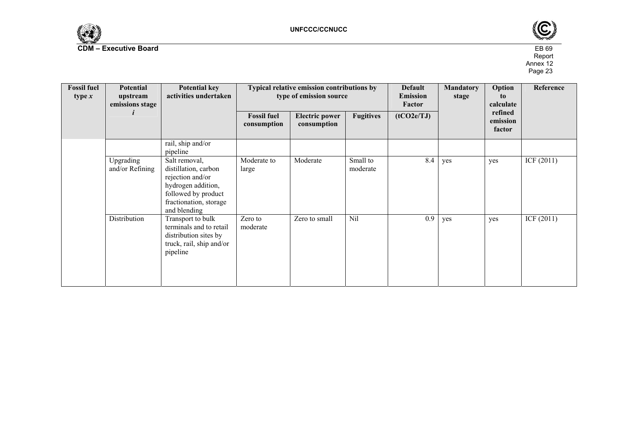



| <b>Fossil fuel</b><br>type $x$ | Potential<br>upstream<br>emissions stage | <b>Potential key</b><br>activities undertaken                                                                                                    |                                   | Typical relative emission contributions by<br>type of emission source |                      |            | <b>Mandatory</b><br>stage | Option<br>to<br>calculate     | Reference    |
|--------------------------------|------------------------------------------|--------------------------------------------------------------------------------------------------------------------------------------------------|-----------------------------------|-----------------------------------------------------------------------|----------------------|------------|---------------------------|-------------------------------|--------------|
|                                |                                          |                                                                                                                                                  | <b>Fossil fuel</b><br>consumption | <b>Electric power</b><br>consumption                                  | <b>Fugitives</b>     | (tCO2e/TJ) |                           | refined<br>emission<br>factor |              |
|                                |                                          | rail, ship and/or<br>pipeline                                                                                                                    |                                   |                                                                       |                      |            |                           |                               |              |
|                                | Upgrading<br>and/or Refining             | Salt removal,<br>distillation, carbon<br>rejection and/or<br>hydrogen addition,<br>followed by product<br>fractionation, storage<br>and blending | Moderate to<br>large              | Moderate                                                              | Small to<br>moderate | 8.4        | yes                       | yes                           | ICF(2011)    |
|                                | Distribution                             | Transport to bulk<br>terminals and to retail<br>distribution sites by<br>truck, rail, ship and/or<br>pipeline                                    | Zero to<br>moderate               | Zero to small                                                         | Nil                  | 0.9        | yes                       | yes                           | ICF $(2011)$ |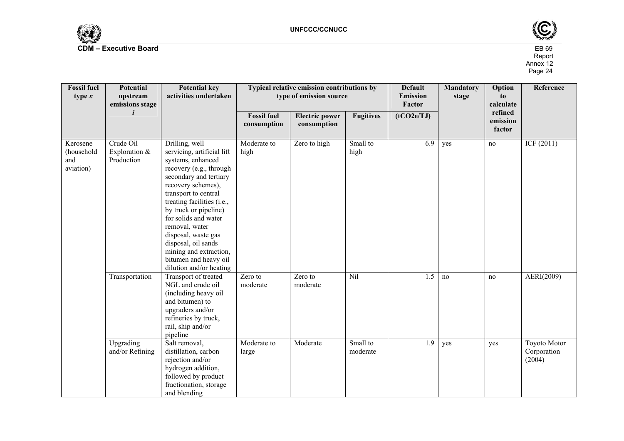



| <b>Fossil fuel</b><br>type $x$             | <b>Potential</b><br>upstream<br>emissions stage | <b>Potential key</b><br>activities undertaken                                                                                                                                                                                                                                                                                                                                                     | Typical relative emission contributions by<br>type of emission source |                                      |                      | <b>Default</b><br><b>Emission</b><br>Factor | <b>Mandatory</b><br>stage | Option<br>to<br>calculate     | Reference                                    |
|--------------------------------------------|-------------------------------------------------|---------------------------------------------------------------------------------------------------------------------------------------------------------------------------------------------------------------------------------------------------------------------------------------------------------------------------------------------------------------------------------------------------|-----------------------------------------------------------------------|--------------------------------------|----------------------|---------------------------------------------|---------------------------|-------------------------------|----------------------------------------------|
|                                            | i                                               |                                                                                                                                                                                                                                                                                                                                                                                                   | <b>Fossil fuel</b><br>consumption                                     | <b>Electric power</b><br>consumption | <b>Fugitives</b>     | (tCO2e/TJ)                                  |                           | refined<br>emission<br>factor |                                              |
| Kerosene<br>(household<br>and<br>aviation) | Crude Oil<br>Exploration $&$<br>Production      | Drilling, well<br>servicing, artificial lift<br>systems, enhanced<br>recovery (e.g., through<br>secondary and tertiary<br>recovery schemes),<br>transport to central<br>treating facilities (i.e.,<br>by truck or pipeline)<br>for solids and water<br>removal, water<br>disposal, waste gas<br>disposal, oil sands<br>mining and extraction,<br>bitumen and heavy oil<br>dilution and/or heating | Moderate to<br>high                                                   | Zero to high                         | Small to<br>high     | 6.9                                         | yes                       | no                            | ICF (2011)                                   |
|                                            | Transportation                                  | Transport of treated<br>NGL and crude oil<br>(including heavy oil<br>and bitumen) to<br>upgraders and/or<br>refineries by truck,<br>rail, ship and/or<br>pipeline                                                                                                                                                                                                                                 | Zero to<br>moderate                                                   | Zero to<br>moderate                  | Nil                  | 1.5                                         | no                        | no                            | AERI(2009)                                   |
|                                            | Upgrading<br>and/or Refining                    | Salt removal,<br>distillation, carbon<br>rejection and/or<br>hydrogen addition,<br>followed by product<br>fractionation, storage<br>and blending                                                                                                                                                                                                                                                  | Moderate to<br>large                                                  | Moderate                             | Small to<br>moderate | 1.9                                         | yes                       | yes                           | <b>Toyoto Motor</b><br>Corporation<br>(2004) |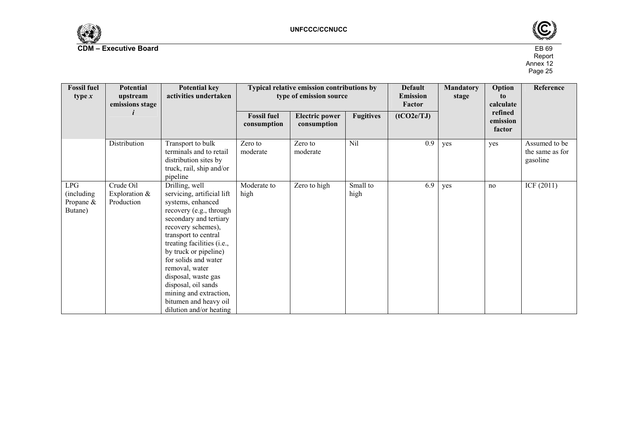



| <b>Fossil fuel</b><br>type $x$            | Potential<br>upstream<br>emissions stage   | <b>Potential key</b><br>activities undertaken                                                                                                                                                                                                                                                                                                                                                     | Typical relative emission contributions by<br>type of emission source |                                      | <b>Default</b><br><b>Emission</b><br>Factor | <b>Mandatory</b><br>stage | Option<br>to<br>calculate | Reference                     |                                              |
|-------------------------------------------|--------------------------------------------|---------------------------------------------------------------------------------------------------------------------------------------------------------------------------------------------------------------------------------------------------------------------------------------------------------------------------------------------------------------------------------------------------|-----------------------------------------------------------------------|--------------------------------------|---------------------------------------------|---------------------------|---------------------------|-------------------------------|----------------------------------------------|
|                                           |                                            |                                                                                                                                                                                                                                                                                                                                                                                                   | <b>Fossil fuel</b><br>consumption                                     | <b>Electric power</b><br>consumption | <b>Fugitives</b>                            | (tCO2e/TJ)                |                           | refined<br>emission<br>factor |                                              |
|                                           | Distribution                               | Transport to bulk<br>terminals and to retail<br>distribution sites by<br>truck, rail, ship and/or<br>pipeline                                                                                                                                                                                                                                                                                     | Zero to<br>moderate                                                   | Zero to<br>moderate                  | $\overline{Nil}$                            | 0.9                       | yes                       | yes                           | Assumed to be<br>the same as for<br>gasoline |
| LPG<br>(including<br>Propane &<br>Butane) | Crude Oil<br>Exploration $&$<br>Production | Drilling, well<br>servicing, artificial lift<br>systems, enhanced<br>recovery (e.g., through<br>secondary and tertiary<br>recovery schemes),<br>transport to central<br>treating facilities (i.e.,<br>by truck or pipeline)<br>for solids and water<br>removal, water<br>disposal, waste gas<br>disposal, oil sands<br>mining and extraction,<br>bitumen and heavy oil<br>dilution and/or heating | Moderate to<br>high                                                   | Zero to high                         | Small to<br>high                            | 6.9                       | yes                       | no                            | ICF (2011)                                   |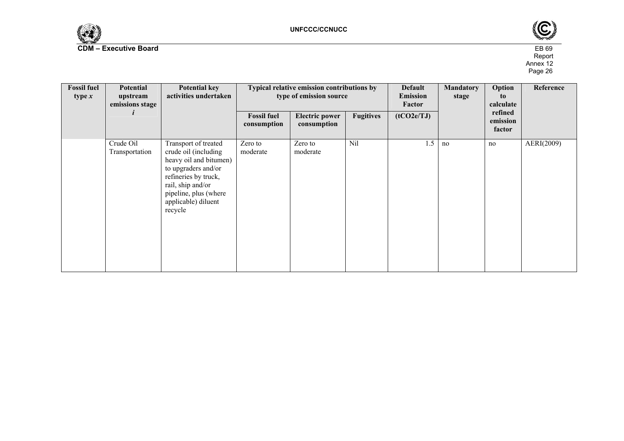



| <b>Fossil fuel</b><br>type $x$ | Potential<br>upstream<br>emissions stage | <b>Potential key</b><br>activities undertaken                                                                                                                                                         |                                   | Typical relative emission contributions by<br>type of emission source |                  | <b>Default</b><br><b>Emission</b><br>Factor | <b>Mandatory</b><br>stage | Option<br>to<br>calculate     | Reference  |
|--------------------------------|------------------------------------------|-------------------------------------------------------------------------------------------------------------------------------------------------------------------------------------------------------|-----------------------------------|-----------------------------------------------------------------------|------------------|---------------------------------------------|---------------------------|-------------------------------|------------|
|                                |                                          |                                                                                                                                                                                                       | <b>Fossil fuel</b><br>consumption | <b>Electric power</b><br>consumption                                  | <b>Fugitives</b> | (tCO2e/TJ)                                  |                           | refined<br>emission<br>factor |            |
|                                | Crude Oil<br>Transportation              | Transport of treated<br>crude oil (including<br>heavy oil and bitumen)<br>to upgraders and/or<br>refineries by truck,<br>rail, ship and/or<br>pipeline, plus (where<br>applicable) diluent<br>recycle | Zero to<br>moderate               | Zero to<br>moderate                                                   | Nil              | 1.5                                         | no                        | no                            | AERI(2009) |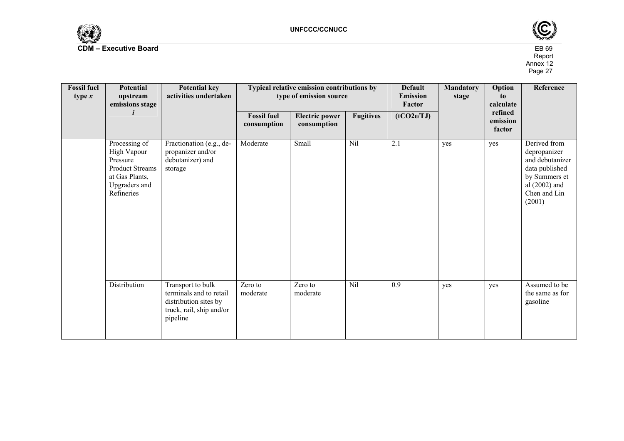



| <b>Fossil fuel</b><br>type $x$ | <b>Potential</b><br>upstream<br>emissions stage                                                                     | <b>Potential key</b><br>activities undertaken                                                                 |                                   | Typical relative emission contributions by<br>type of emission source |                  | <b>Default</b><br><b>Emission</b><br>Factor | <b>Mandatory</b><br>stage | Option<br>to<br>calculate<br>refined<br>emission<br>factor | Reference                                                                                                                       |
|--------------------------------|---------------------------------------------------------------------------------------------------------------------|---------------------------------------------------------------------------------------------------------------|-----------------------------------|-----------------------------------------------------------------------|------------------|---------------------------------------------|---------------------------|------------------------------------------------------------|---------------------------------------------------------------------------------------------------------------------------------|
|                                |                                                                                                                     |                                                                                                               | <b>Fossil fuel</b><br>consumption | <b>Electric power</b><br>consumption                                  | <b>Fugitives</b> | (tCO2e/TJ)                                  |                           |                                                            |                                                                                                                                 |
|                                | Processing of<br>High Vapour<br>Pressure<br><b>Product Streams</b><br>at Gas Plants,<br>Upgraders and<br>Refineries | Fractionation (e.g., de-<br>propanizer and/or<br>debutanizer) and<br>storage                                  | Moderate                          | Small                                                                 | Nil              | 2.1                                         | yes                       | yes                                                        | Derived from<br>depropanizer<br>and debutanizer<br>data published<br>by Summers et<br>al $(2002)$ and<br>Chen and Lin<br>(2001) |
|                                | Distribution                                                                                                        | Transport to bulk<br>terminals and to retail<br>distribution sites by<br>truck, rail, ship and/or<br>pipeline | Zero to<br>moderate               | Zero to<br>moderate                                                   | Nil              | 0.9                                         | yes                       | yes                                                        | Assumed to be<br>the same as for<br>gasoline                                                                                    |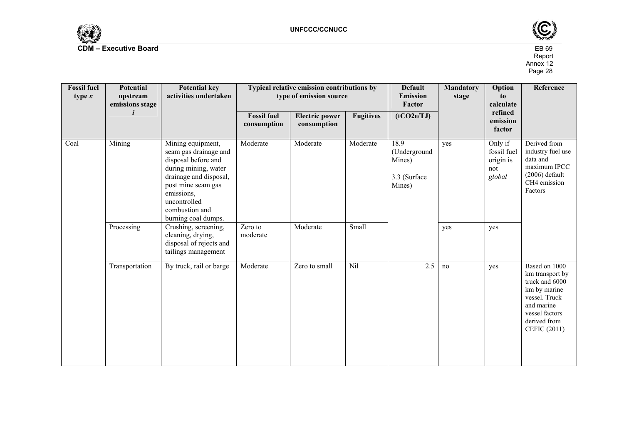



| <b>Fossil fuel</b><br><b>Potential</b><br>upstream<br>type $x$<br>emissions stage |                | <b>Potential key</b><br>activities undertaken                                                                                                                                                                    | Typical relative emission contributions by<br>type of emission source |                                      |                  | <b>Default</b><br><b>Emission</b><br>Factor              | <b>Mandatory</b><br>stage | Option<br>to<br>calculate                            | Reference                                                                                                                                           |
|-----------------------------------------------------------------------------------|----------------|------------------------------------------------------------------------------------------------------------------------------------------------------------------------------------------------------------------|-----------------------------------------------------------------------|--------------------------------------|------------------|----------------------------------------------------------|---------------------------|------------------------------------------------------|-----------------------------------------------------------------------------------------------------------------------------------------------------|
|                                                                                   |                |                                                                                                                                                                                                                  | <b>Fossil</b> fuel<br>consumption                                     | <b>Electric power</b><br>consumption | <b>Fugitives</b> | (tCO2e/TJ)                                               |                           | refined<br>emission<br>factor                        |                                                                                                                                                     |
| Coal                                                                              | Mining         | Mining equipment,<br>seam gas drainage and<br>disposal before and<br>during mining, water<br>drainage and disposal,<br>post mine seam gas<br>emissions,<br>uncontrolled<br>combustion and<br>burning coal dumps. | Moderate                                                              | Moderate                             | Moderate         | 18.9<br>(Underground<br>Mines)<br>3.3 (Surface<br>Mines) | yes                       | Only if<br>fossil fuel<br>origin is<br>not<br>global | Derived from<br>industry fuel use<br>data and<br>maximum IPCC<br>$(2006)$ default<br>CH4 emission<br>Factors                                        |
|                                                                                   | Processing     | Crushing, screening,<br>cleaning, drying,<br>disposal of rejects and<br>tailings management                                                                                                                      | Zero to<br>moderate                                                   | Moderate                             | Small            |                                                          | yes                       | yes                                                  |                                                                                                                                                     |
|                                                                                   | Transportation | By truck, rail or barge                                                                                                                                                                                          | Moderate                                                              | Zero to small                        | Nil              | 2.5                                                      | no                        | yes                                                  | Based on 1000<br>km transport by<br>truck and 6000<br>km by marine<br>vessel. Truck<br>and marine<br>vessel factors<br>derived from<br>CEFIC (2011) |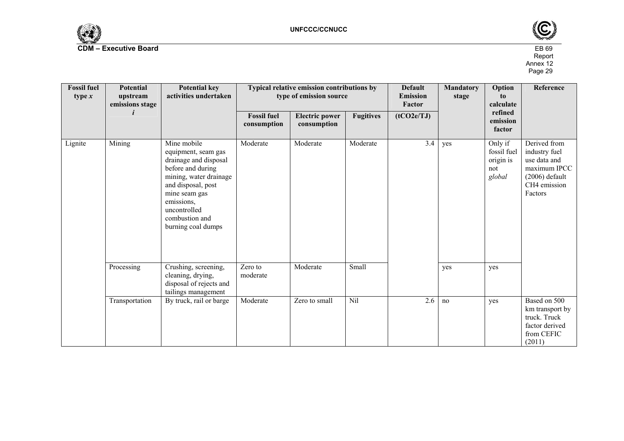



| <b>Fossil fuel</b><br>type $x$ | <b>Potential</b><br>upstream<br>emissions stage | <b>Potential key</b><br>activities undertaken                                                                                                                                                                           | Typical relative emission contributions by<br>type of emission source |                                      | <b>Default</b><br><b>Emission</b><br>Factor | <b>Mandatory</b><br>stage | Option<br>to<br>calculate | Reference                                            |                                                                                                              |
|--------------------------------|-------------------------------------------------|-------------------------------------------------------------------------------------------------------------------------------------------------------------------------------------------------------------------------|-----------------------------------------------------------------------|--------------------------------------|---------------------------------------------|---------------------------|---------------------------|------------------------------------------------------|--------------------------------------------------------------------------------------------------------------|
|                                |                                                 |                                                                                                                                                                                                                         | <b>Fossil fuel</b><br>consumption                                     | <b>Electric power</b><br>consumption | <b>Fugitives</b>                            | (tCO2e/TJ)                |                           | refined<br>emission<br>factor                        |                                                                                                              |
| Lignite                        | Mining                                          | Mine mobile<br>equipment, seam gas<br>drainage and disposal<br>before and during<br>mining, water drainage<br>and disposal, post<br>mine seam gas<br>emissions,<br>uncontrolled<br>combustion and<br>burning coal dumps | Moderate                                                              | Moderate                             | Moderate                                    | 3.4                       | yes                       | Only if<br>fossil fuel<br>origin is<br>not<br>global | Derived from<br>industry fuel<br>use data and<br>maximum IPCC<br>$(2006)$ default<br>CH4 emission<br>Factors |
|                                | Processing                                      | Crushing, screening,<br>cleaning, drying,<br>disposal of rejects and<br>tailings management                                                                                                                             | Zero to<br>moderate                                                   | Moderate                             | Small                                       |                           | yes                       | yes                                                  |                                                                                                              |
|                                | Transportation                                  | By truck, rail or barge                                                                                                                                                                                                 | Moderate                                                              | Zero to small                        | Nil                                         | 2.6                       | no                        | yes                                                  | Based on 500<br>km transport by<br>truck. Truck<br>factor derived<br>from CEFIC<br>(2011)                    |